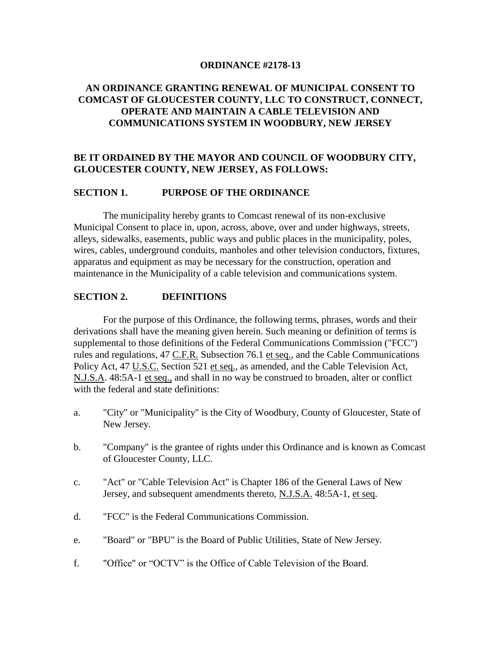### **ORDINANCE #2178-13**

# **AN ORDINANCE GRANTING RENEWAL OF MUNICIPAL CONSENT TO COMCAST OF GLOUCESTER COUNTY, LLC TO CONSTRUCT, CONNECT, OPERATE AND MAINTAIN A CABLE TELEVISION AND COMMUNICATIONS SYSTEM IN WOODBURY, NEW JERSEY**

# **BE IT ORDAINED BY THE MAYOR AND COUNCIL OF WOODBURY CITY, GLOUCESTER COUNTY, NEW JERSEY, AS FOLLOWS:**

### **SECTION 1. PURPOSE OF THE ORDINANCE**

The municipality hereby grants to Comcast renewal of its non-exclusive Municipal Consent to place in, upon, across, above, over and under highways, streets, alleys, sidewalks, easements, public ways and public places in the municipality, poles, wires, cables, underground conduits, manholes and other television conductors, fixtures, apparatus and equipment as may be necessary for the construction, operation and maintenance in the Municipality of a cable television and communications system.

## **SECTION 2. DEFINITIONS**

For the purpose of this Ordinance, the following terms, phrases, words and their derivations shall have the meaning given herein. Such meaning or definition of terms is supplemental to those definitions of the Federal Communications Commission ("FCC") rules and regulations, 47 C.F.R. Subsection 76.1 et seq., and the Cable Communications Policy Act, 47 U.S.C. Section 521 et seq., as amended, and the Cable Television Act, N.J.S.A. 48:5A-1 et seq., and shall in no way be construed to broaden, alter or conflict with the federal and state definitions:

- a. "City" or "Municipality" is the City of Woodbury, County of Gloucester, State of New Jersey.
- b. "Company" is the grantee of rights under this Ordinance and is known as Comcast of Gloucester County, LLC.
- c. "Act" or "Cable Television Act" is Chapter 186 of the General Laws of New Jersey, and subsequent amendments thereto, N.J.S.A. 48:5A-1, et seq.
- d. "FCC" is the Federal Communications Commission.
- e. "Board" or "BPU" is the Board of Public Utilities, State of New Jersey.
- f. "Office" or "OCTV" is the Office of Cable Television of the Board.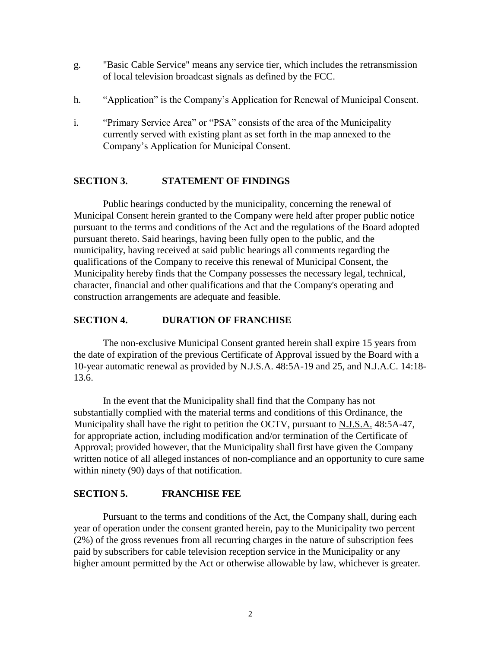- g. "Basic Cable Service" means any service tier, which includes the retransmission of local television broadcast signals as defined by the FCC.
- h. "Application" is the Company's Application for Renewal of Municipal Consent.
- i. "Primary Service Area" or "PSA" consists of the area of the Municipality currently served with existing plant as set forth in the map annexed to the Company's Application for Municipal Consent.

## **SECTION 3. STATEMENT OF FINDINGS**

Public hearings conducted by the municipality, concerning the renewal of Municipal Consent herein granted to the Company were held after proper public notice pursuant to the terms and conditions of the Act and the regulations of the Board adopted pursuant thereto. Said hearings, having been fully open to the public, and the municipality, having received at said public hearings all comments regarding the qualifications of the Company to receive this renewal of Municipal Consent, the Municipality hereby finds that the Company possesses the necessary legal, technical, character, financial and other qualifications and that the Company's operating and construction arrangements are adequate and feasible.

## **SECTION 4. DURATION OF FRANCHISE**

The non-exclusive Municipal Consent granted herein shall expire 15 years from the date of expiration of the previous Certificate of Approval issued by the Board with a 10-year automatic renewal as provided by N.J.S.A. 48:5A-19 and 25, and N.J.A.C. 14:18- 13.6.

In the event that the Municipality shall find that the Company has not substantially complied with the material terms and conditions of this Ordinance, the Municipality shall have the right to petition the OCTV, pursuant to N.J.S.A. 48:5A-47, for appropriate action, including modification and/or termination of the Certificate of Approval; provided however, that the Municipality shall first have given the Company written notice of all alleged instances of non-compliance and an opportunity to cure same within ninety (90) days of that notification.

## **SECTION 5. FRANCHISE FEE**

Pursuant to the terms and conditions of the Act, the Company shall, during each year of operation under the consent granted herein, pay to the Municipality two percent (2%) of the gross revenues from all recurring charges in the nature of subscription fees paid by subscribers for cable television reception service in the Municipality or any higher amount permitted by the Act or otherwise allowable by law, whichever is greater.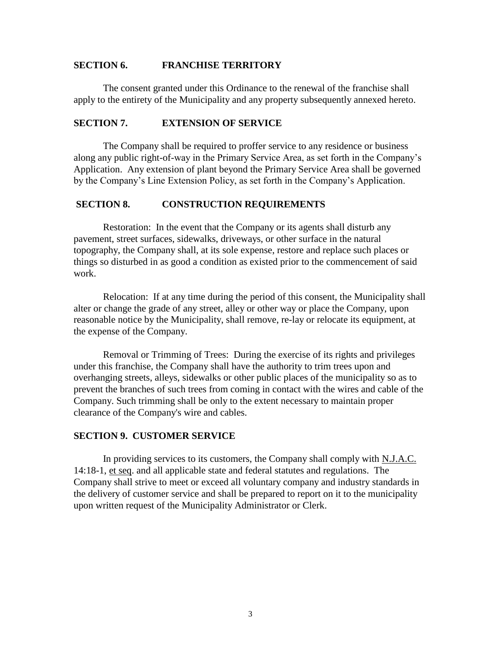### **SECTION 6. FRANCHISE TERRITORY**

The consent granted under this Ordinance to the renewal of the franchise shall apply to the entirety of the Municipality and any property subsequently annexed hereto.

#### **SECTION 7. EXTENSION OF SERVICE**

The Company shall be required to proffer service to any residence or business along any public right-of-way in the Primary Service Area, as set forth in the Company's Application. Any extension of plant beyond the Primary Service Area shall be governed by the Company's Line Extension Policy, as set forth in the Company's Application.

## **SECTION 8. CONSTRUCTION REQUIREMENTS**

Restoration: In the event that the Company or its agents shall disturb any pavement, street surfaces, sidewalks, driveways, or other surface in the natural topography, the Company shall, at its sole expense, restore and replace such places or things so disturbed in as good a condition as existed prior to the commencement of said work.

Relocation: If at any time during the period of this consent, the Municipality shall alter or change the grade of any street, alley or other way or place the Company, upon reasonable notice by the Municipality, shall remove, re-lay or relocate its equipment, at the expense of the Company.

Removal or Trimming of Trees: During the exercise of its rights and privileges under this franchise, the Company shall have the authority to trim trees upon and overhanging streets, alleys, sidewalks or other public places of the municipality so as to prevent the branches of such trees from coming in contact with the wires and cable of the Company. Such trimming shall be only to the extent necessary to maintain proper clearance of the Company's wire and cables.

#### **SECTION 9. CUSTOMER SERVICE**

In providing services to its customers, the Company shall comply with N.J.A.C. 14:18-1, et seq. and all applicable state and federal statutes and regulations. The Company shall strive to meet or exceed all voluntary company and industry standards in the delivery of customer service and shall be prepared to report on it to the municipality upon written request of the Municipality Administrator or Clerk.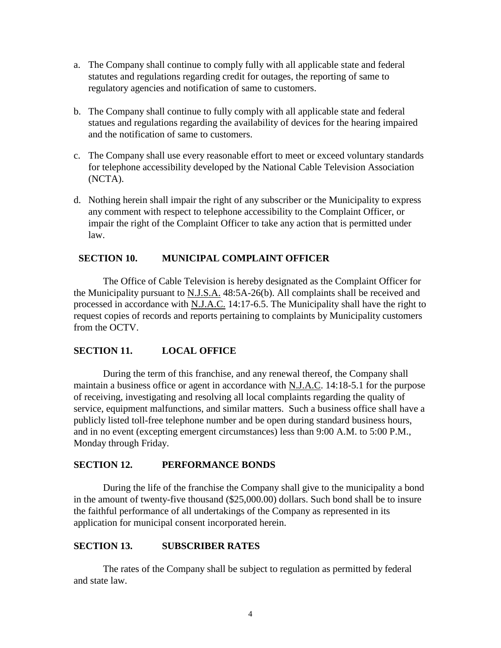- a. The Company shall continue to comply fully with all applicable state and federal statutes and regulations regarding credit for outages, the reporting of same to regulatory agencies and notification of same to customers.
- b. The Company shall continue to fully comply with all applicable state and federal statues and regulations regarding the availability of devices for the hearing impaired and the notification of same to customers.
- c. The Company shall use every reasonable effort to meet or exceed voluntary standards for telephone accessibility developed by the National Cable Television Association (NCTA).
- d. Nothing herein shall impair the right of any subscriber or the Municipality to express any comment with respect to telephone accessibility to the Complaint Officer, or impair the right of the Complaint Officer to take any action that is permitted under law.

## **SECTION 10. MUNICIPAL COMPLAINT OFFICER**

The Office of Cable Television is hereby designated as the Complaint Officer for the Municipality pursuant to N.J.S.A. 48:5A-26(b). All complaints shall be received and processed in accordance with N.J.A.C. 14:17-6.5. The Municipality shall have the right to request copies of records and reports pertaining to complaints by Municipality customers from the OCTV.

# **SECTION 11. LOCAL OFFICE**

During the term of this franchise, and any renewal thereof, the Company shall maintain a business office or agent in accordance with N.J.A.C. 14:18-5.1 for the purpose of receiving, investigating and resolving all local complaints regarding the quality of service, equipment malfunctions, and similar matters. Such a business office shall have a publicly listed toll-free telephone number and be open during standard business hours, and in no event (excepting emergent circumstances) less than 9:00 A.M. to 5:00 P.M., Monday through Friday.

## **SECTION 12. PERFORMANCE BONDS**

During the life of the franchise the Company shall give to the municipality a bond in the amount of twenty-five thousand (\$25,000.00) dollars. Such bond shall be to insure the faithful performance of all undertakings of the Company as represented in its application for municipal consent incorporated herein.

## **SECTION 13. SUBSCRIBER RATES**

The rates of the Company shall be subject to regulation as permitted by federal and state law.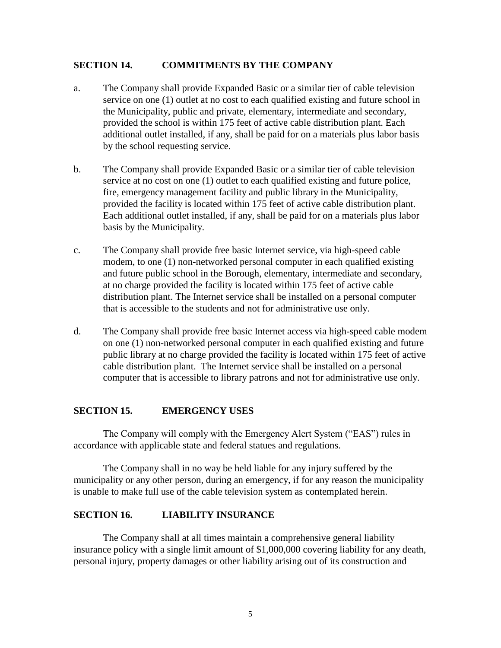## **SECTION 14. COMMITMENTS BY THE COMPANY**

- a. The Company shall provide Expanded Basic or a similar tier of cable television service on one (1) outlet at no cost to each qualified existing and future school in the Municipality, public and private, elementary, intermediate and secondary, provided the school is within 175 feet of active cable distribution plant. Each additional outlet installed, if any, shall be paid for on a materials plus labor basis by the school requesting service.
- b. The Company shall provide Expanded Basic or a similar tier of cable television service at no cost on one (1) outlet to each qualified existing and future police, fire, emergency management facility and public library in the Municipality, provided the facility is located within 175 feet of active cable distribution plant. Each additional outlet installed, if any, shall be paid for on a materials plus labor basis by the Municipality.
- c. The Company shall provide free basic Internet service, via high-speed cable modem, to one (1) non-networked personal computer in each qualified existing and future public school in the Borough, elementary, intermediate and secondary, at no charge provided the facility is located within 175 feet of active cable distribution plant. The Internet service shall be installed on a personal computer that is accessible to the students and not for administrative use only.
- d. The Company shall provide free basic Internet access via high-speed cable modem on one (1) non-networked personal computer in each qualified existing and future public library at no charge provided the facility is located within 175 feet of active cable distribution plant. The Internet service shall be installed on a personal computer that is accessible to library patrons and not for administrative use only.

## **SECTION 15. EMERGENCY USES**

The Company will comply with the Emergency Alert System ("EAS") rules in accordance with applicable state and federal statues and regulations.

The Company shall in no way be held liable for any injury suffered by the municipality or any other person, during an emergency, if for any reason the municipality is unable to make full use of the cable television system as contemplated herein.

## **SECTION 16. LIABILITY INSURANCE**

The Company shall at all times maintain a comprehensive general liability insurance policy with a single limit amount of \$1,000,000 covering liability for any death, personal injury, property damages or other liability arising out of its construction and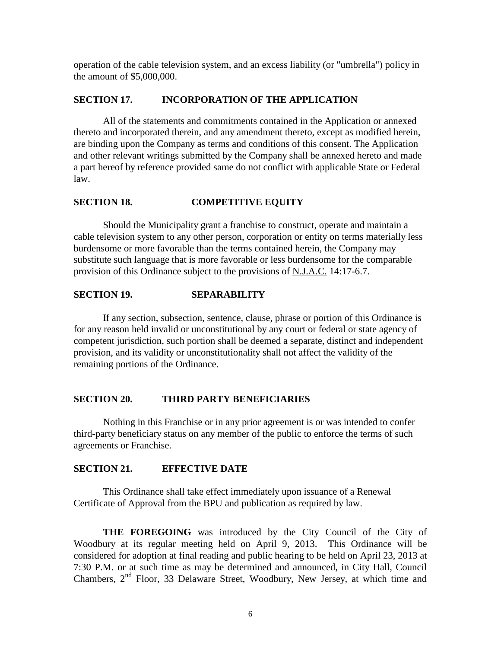operation of the cable television system, and an excess liability (or "umbrella") policy in the amount of \$5,000,000.

### **SECTION 17. INCORPORATION OF THE APPLICATION**

All of the statements and commitments contained in the Application or annexed thereto and incorporated therein, and any amendment thereto, except as modified herein, are binding upon the Company as terms and conditions of this consent. The Application and other relevant writings submitted by the Company shall be annexed hereto and made a part hereof by reference provided same do not conflict with applicable State or Federal law.

## **SECTION 18. COMPETITIVE EQUITY**

Should the Municipality grant a franchise to construct, operate and maintain a cable television system to any other person, corporation or entity on terms materially less burdensome or more favorable than the terms contained herein, the Company may substitute such language that is more favorable or less burdensome for the comparable provision of this Ordinance subject to the provisions of N.J.A.C. 14:17-6.7.

## **SECTION 19. SEPARABILITY**

If any section, subsection, sentence, clause, phrase or portion of this Ordinance is for any reason held invalid or unconstitutional by any court or federal or state agency of competent jurisdiction, such portion shall be deemed a separate, distinct and independent provision, and its validity or unconstitutionality shall not affect the validity of the remaining portions of the Ordinance.

#### **SECTION 20. THIRD PARTY BENEFICIARIES**

Nothing in this Franchise or in any prior agreement is or was intended to confer third-party beneficiary status on any member of the public to enforce the terms of such agreements or Franchise.

### **SECTION 21. EFFECTIVE DATE**

This Ordinance shall take effect immediately upon issuance of a Renewal Certificate of Approval from the BPU and publication as required by law.

**THE FOREGOING** was introduced by the City Council of the City of Woodbury at its regular meeting held on April 9, 2013. This Ordinance will be considered for adoption at final reading and public hearing to be held on April 23, 2013 at 7:30 P.M. or at such time as may be determined and announced, in City Hall, Council Chambers, 2nd Floor, 33 Delaware Street, Woodbury, New Jersey, at which time and